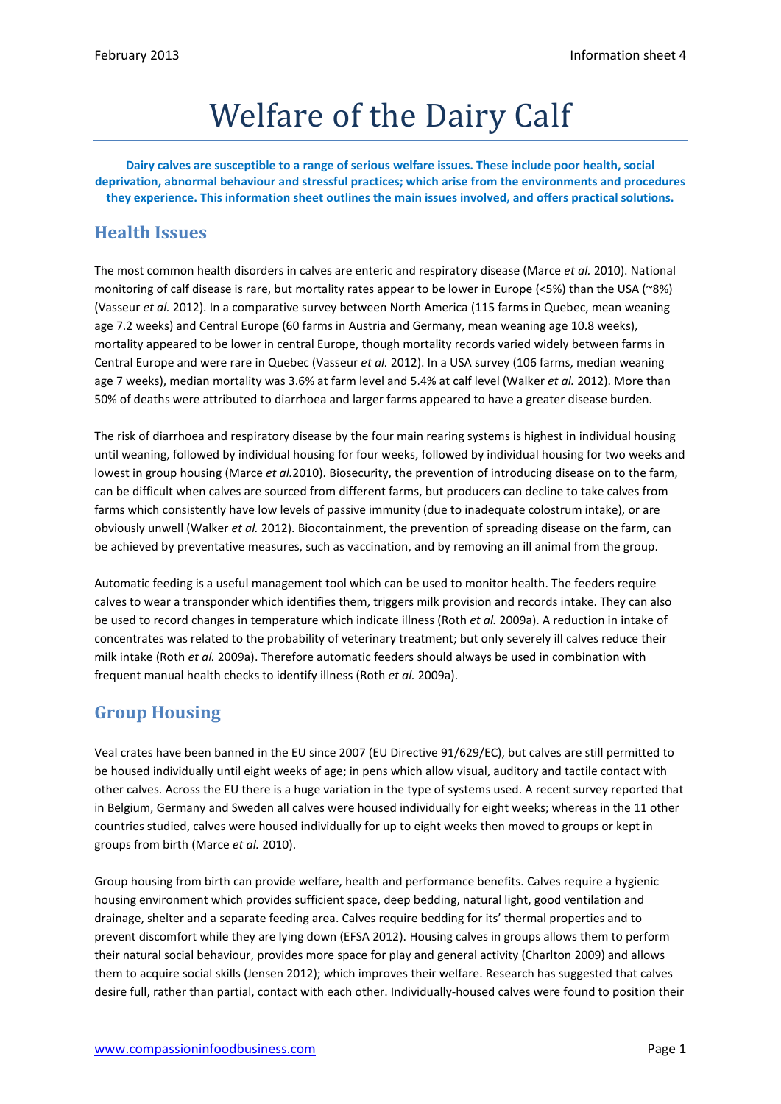# Welfare of the Dairy Calf

**Dairy calves are susceptible to a range of serious welfare issues. These include poor health, social deprivation, abnormal behaviour and stressful practices; which arise from the environments and procedures they experience. This information sheet outlines the main issues involved, and offers practical solutions.**

#### **Health Issues**

The most common health disorders in calves are enteric and respiratory disease (Marce *et al.* 2010). National monitoring of calf disease is rare, but mortality rates appear to be lower in Europe (<5%) than the USA (~8%) (Vasseur *et al.* 2012). In a comparative survey between North America (115 farms in Quebec, mean weaning age 7.2 weeks) and Central Europe (60 farms in Austria and Germany, mean weaning age 10.8 weeks), mortality appeared to be lower in central Europe, though mortality records varied widely between farms in Central Europe and were rare in Quebec (Vasseur *et al.* 2012). In a USA survey (106 farms, median weaning age 7 weeks), median mortality was 3.6% at farm level and 5.4% at calf level (Walker *et al.* 2012). More than 50% of deaths were attributed to diarrhoea and larger farms appeared to have a greater disease burden.

The risk of diarrhoea and respiratory disease by the four main rearing systems is highest in individual housing until weaning, followed by individual housing for four weeks, followed by individual housing for two weeks and lowest in group housing (Marce *et al.*2010). Biosecurity, the prevention of introducing disease on to the farm, can be difficult when calves are sourced from different farms, but producers can decline to take calves from farms which consistently have low levels of passive immunity (due to inadequate colostrum intake), or are obviously unwell (Walker *et al.* 2012). Biocontainment, the prevention of spreading disease on the farm, can be achieved by preventative measures, such as vaccination, and by removing an ill animal from the group.

Automatic feeding is a useful management tool which can be used to monitor health. The feeders require calves to wear a transponder which identifies them, triggers milk provision and records intake. They can also be used to record changes in temperature which indicate illness (Roth *et al.* 2009a). A reduction in intake of concentrates was related to the probability of veterinary treatment; but only severely ill calves reduce their milk intake (Roth *et al.* 2009a). Therefore automatic feeders should always be used in combination with frequent manual health checks to identify illness (Roth *et al.* 2009a).

# **Group Housing**

Veal crates have been banned in the EU since 2007 (EU Directive 91/629/EC), but calves are still permitted to be housed individually until eight weeks of age; in pens which allow visual, auditory and tactile contact with other calves. Across the EU there is a huge variation in the type of systems used. A recent survey reported that in Belgium, Germany and Sweden all calves were housed individually for eight weeks; whereas in the 11 other countries studied, calves were housed individually for up to eight weeks then moved to groups or kept in groups from birth (Marce *et al.* 2010).

Group housing from birth can provide welfare, health and performance benefits. Calves require a hygienic housing environment which provides sufficient space, deep bedding, natural light, good ventilation and drainage, shelter and a separate feeding area. Calves require bedding for its' thermal properties and to prevent discomfort while they are lying down (EFSA 2012). Housing calves in groups allows them to perform their natural social behaviour, provides more space for play and general activity (Charlton 2009) and allows them to acquire social skills (Jensen 2012); which improves their welfare. Research has suggested that calves desire full, rather than partial, contact with each other. Individually-housed calves were found to position their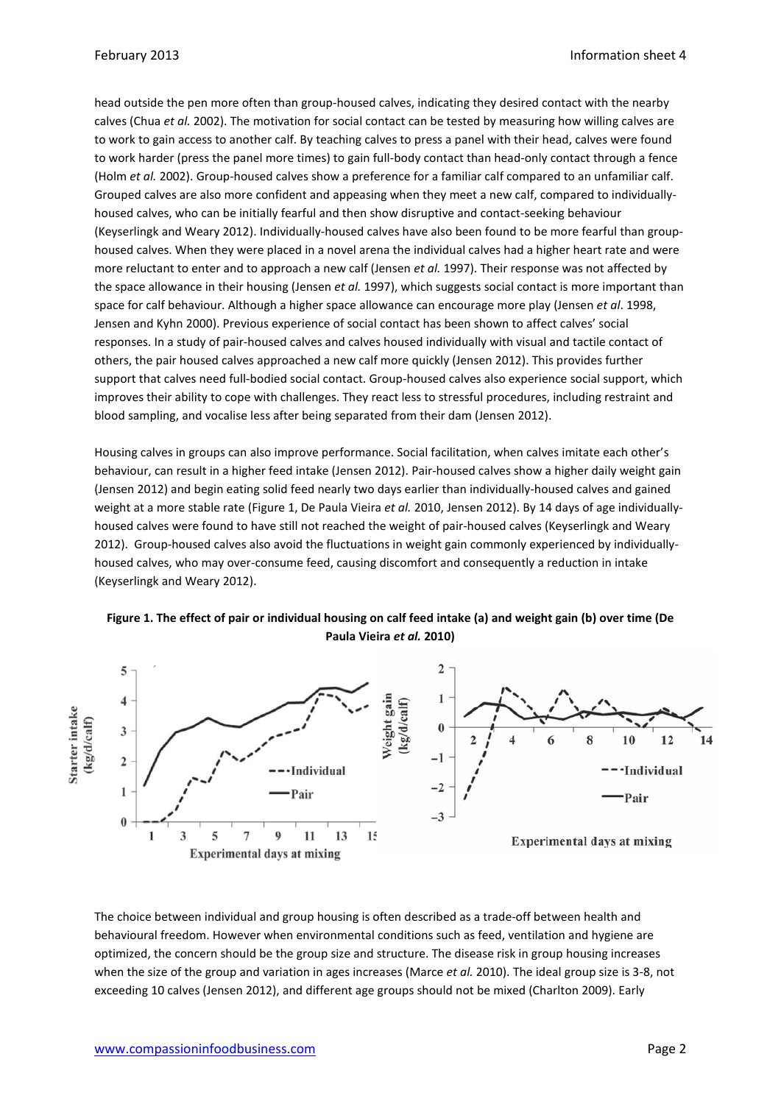head outside the pen more often than group-housed calves, indicating they desired contact with the nearby calves (Chua *et al.* 2002). The motivation for social contact can be tested by measuring how willing calves are to work to gain access to another calf. By teaching calves to press a panel with their head, calves were found to work harder (press the panel more times) to gain full-body contact than head-only contact through a fence (Holm *et al.* 2002). Group-housed calves show a preference for a familiar calf compared to an unfamiliar calf. Grouped calves are also more confident and appeasing when they meet a new calf, compared to individuallyhoused calves, who can be initially fearful and then show disruptive and contact-seeking behaviour (Keyserlingk and Weary 2012). Individually-housed calves have also been found to be more fearful than grouphoused calves. When they were placed in a novel arena the individual calves had a higher heart rate and were more reluctant to enter and to approach a new calf (Jensen *et al.* 1997). Their response was not affected by the space allowance in their housing (Jensen *et al.* 1997), which suggests social contact is more important than space for calf behaviour. Although a higher space allowance can encourage more play (Jensen *et al*. 1998, Jensen and Kyhn 2000). Previous experience of social contact has been shown to affect calves' social responses. In a study of pair-housed calves and calves housed individually with visual and tactile contact of others, the pair housed calves approached a new calf more quickly (Jensen 2012). This provides further support that calves need full-bodied social contact. Group-housed calves also experience social support, which improves their ability to cope with challenges. They react less to stressful procedures, including restraint and blood sampling, and vocalise less after being separated from their dam (Jensen 2012).

Housing calves in groups can also improve performance. Social facilitation, when calves imitate each other's behaviour, can result in a higher feed intake (Jensen 2012). Pair-housed calves show a higher daily weight gain (Jensen 2012) and begin eating solid feed nearly two days earlier than individually-housed calves and gained weight at a more stable rate (Figure 1, De Paula Vieira *et al.* 2010, Jensen 2012). By 14 days of age individuallyhoused calves were found to have still not reached the weight of pair-housed calves (Keyserlingk and Weary 2012). Group-housed calves also avoid the fluctuations in weight gain commonly experienced by individuallyhoused calves, who may over-consume feed, causing discomfort and consequently a reduction in intake (Keyserlingk and Weary 2012).

#### **Figure 1. The effect of pair or individual housing on calf feed intake (a) and weight gain (b) over time (De Paula Vieira** *et al.* **2010)**



The choice between individual and group housing is often described as a trade-off between health and behavioural freedom. However when environmental conditions such as feed, ventilation and hygiene are optimized, the concern should be the group size and structure. The disease risk in group housing increases when the size of the group and variation in ages increases (Marce *et al.* 2010). The ideal group size is 3-8, not exceeding 10 calves (Jensen 2012), and different age groups should not be mixed (Charlton 2009). Early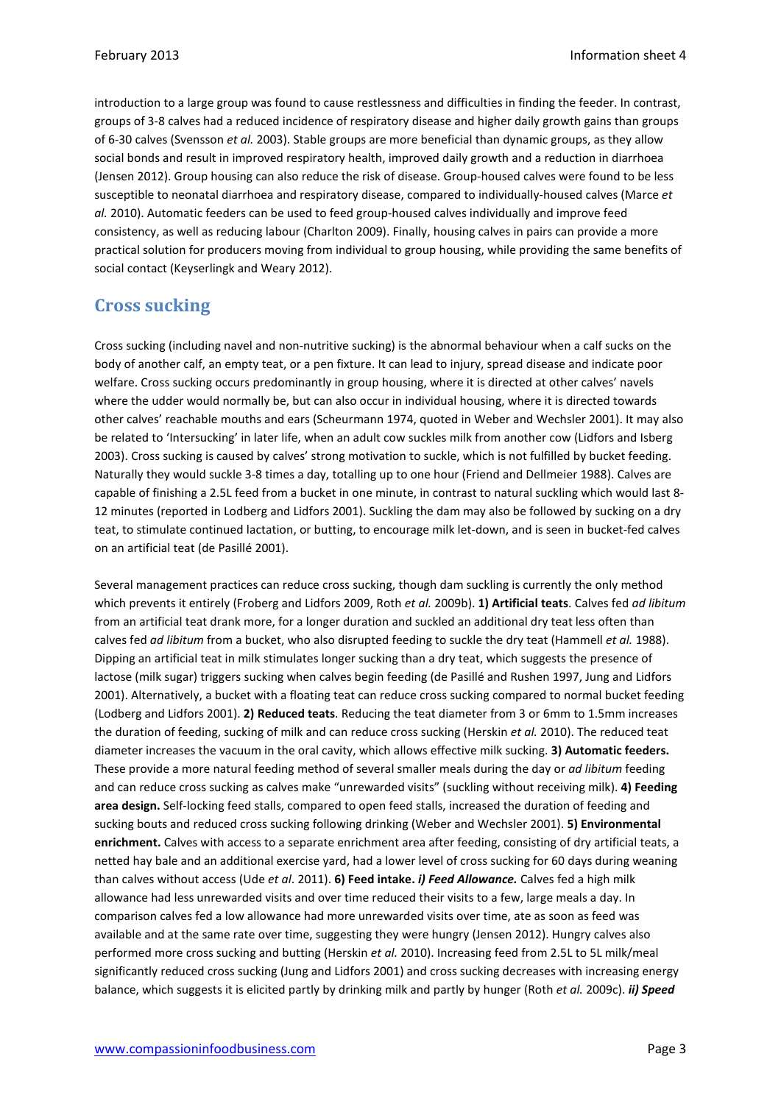introduction to a large group was found to cause restlessness and difficulties in finding the feeder. In contrast, groups of 3-8 calves had a reduced incidence of respiratory disease and higher daily growth gains than groups of 6-30 calves (Svensson *et al.* 2003). Stable groups are more beneficial than dynamic groups, as they allow social bonds and result in improved respiratory health, improved daily growth and a reduction in diarrhoea (Jensen 2012). Group housing can also reduce the risk of disease. Group-housed calves were found to be less susceptible to neonatal diarrhoea and respiratory disease, compared to individually-housed calves (Marce *et al.* 2010). Automatic feeders can be used to feed group-housed calves individually and improve feed consistency, as well as reducing labour (Charlton 2009). Finally, housing calves in pairs can provide a more practical solution for producers moving from individual to group housing, while providing the same benefits of social contact (Keyserlingk and Weary 2012).

## **Cross sucking**

Cross sucking (including navel and non-nutritive sucking) is the abnormal behaviour when a calf sucks on the body of another calf, an empty teat, or a pen fixture. It can lead to injury, spread disease and indicate poor welfare. Cross sucking occurs predominantly in group housing, where it is directed at other calves' navels where the udder would normally be, but can also occur in individual housing, where it is directed towards other calves' reachable mouths and ears (Scheurmann 1974, quoted in Weber and Wechsler 2001). It may also be related to 'Intersucking' in later life, when an adult cow suckles milk from another cow (Lidfors and Isberg 2003). Cross sucking is caused by calves' strong motivation to suckle, which is not fulfilled by bucket feeding. Naturally they would suckle 3-8 times a day, totalling up to one hour (Friend and Dellmeier 1988). Calves are capable of finishing a 2.5L feed from a bucket in one minute, in contrast to natural suckling which would last 8- 12 minutes (reported in Lodberg and Lidfors 2001). Suckling the dam may also be followed by sucking on a dry teat, to stimulate continued lactation, or butting, to encourage milk let-down, and is seen in bucket-fed calves on an artificial teat (de Pasillé 2001).

Several management practices can reduce cross sucking, though dam suckling is currently the only method which prevents it entirely (Froberg and Lidfors 2009, Roth *et al.* 2009b). **1) Artificial teats**. Calves fed *ad libitum* from an artificial teat drank more, for a longer duration and suckled an additional dry teat less often than calves fed *ad libitum* from a bucket, who also disrupted feeding to suckle the dry teat (Hammell *et al.* 1988). Dipping an artificial teat in milk stimulates longer sucking than a dry teat, which suggests the presence of lactose (milk sugar) triggers sucking when calves begin feeding (de Pasillé and Rushen 1997, Jung and Lidfors 2001). Alternatively, a bucket with a floating teat can reduce cross sucking compared to normal bucket feeding (Lodberg and Lidfors 2001). **2) Reduced teats**. Reducing the teat diameter from 3 or 6mm to 1.5mm increases the duration of feeding, sucking of milk and can reduce cross sucking (Herskin *et al.* 2010). The reduced teat diameter increases the vacuum in the oral cavity, which allows effective milk sucking. **3) Automatic feeders.** These provide a more natural feeding method of several smaller meals during the day or *ad libitum* feeding and can reduce cross sucking as calves make "unrewarded visits" (suckling without receiving milk). **4) Feeding area design.** Self-locking feed stalls, compared to open feed stalls, increased the duration of feeding and sucking bouts and reduced cross sucking following drinking (Weber and Wechsler 2001). **5) Environmental enrichment.** Calves with access to a separate enrichment area after feeding, consisting of dry artificial teats, a netted hay bale and an additional exercise yard, had a lower level of cross sucking for 60 days during weaning than calves without access (Ude *et al*. 2011). **6) Feed intake.** *i) Feed Allowance.* Calves fed a high milk allowance had less unrewarded visits and over time reduced their visits to a few, large meals a day. In comparison calves fed a low allowance had more unrewarded visits over time, ate as soon as feed was available and at the same rate over time, suggesting they were hungry (Jensen 2012). Hungry calves also performed more cross sucking and butting (Herskin *et al.* 2010). Increasing feed from 2.5L to 5L milk/meal significantly reduced cross sucking (Jung and Lidfors 2001) and cross sucking decreases with increasing energy balance, which suggests it is elicited partly by drinking milk and partly by hunger (Roth *et al.* 2009c). *ii) Speed*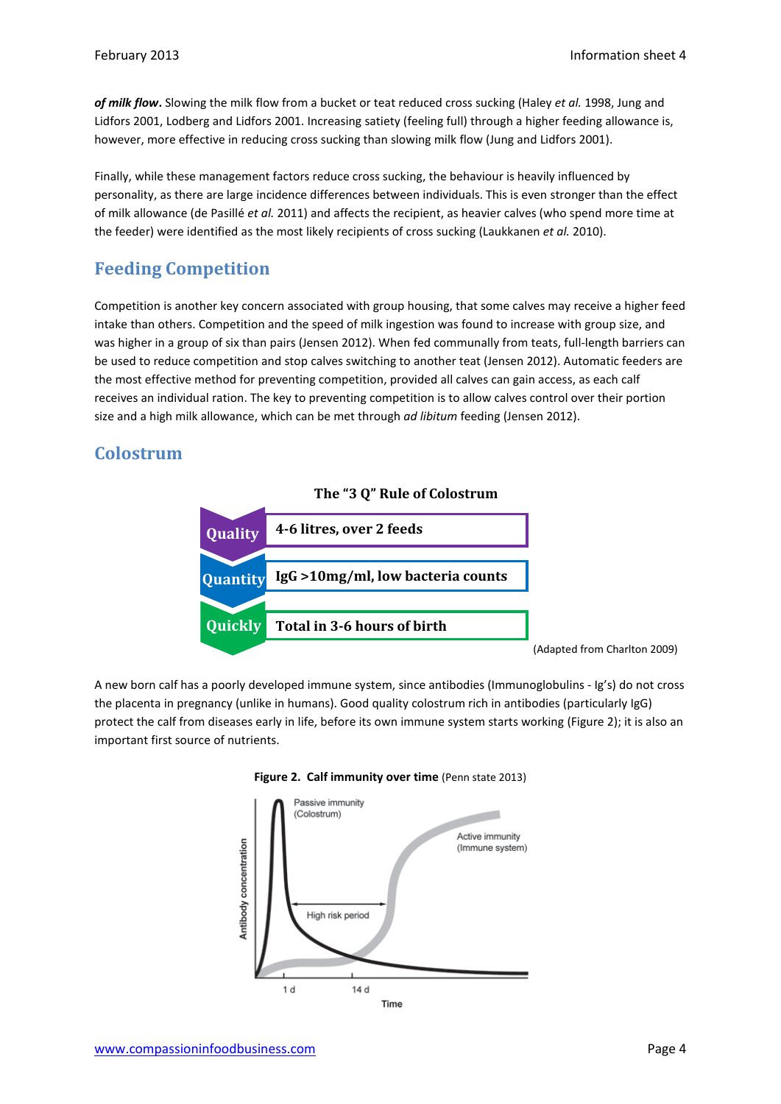*of milk flow***.** Slowing the milk flow from a bucket or teat reduced cross sucking (Haley *et al.* 1998, Jung and Lidfors 2001, Lodberg and Lidfors 2001. Increasing satiety (feeling full) through a higher feeding allowance is, however, more effective in reducing cross sucking than slowing milk flow (Jung and Lidfors 2001).

Finally, while these management factors reduce cross sucking, the behaviour is heavily influenced by personality, as there are large incidence differences between individuals. This is even stronger than the effect of milk allowance (de Pasillé *et al.* 2011) and affects the recipient, as heavier calves (who spend more time at the feeder) were identified as the most likely recipients of cross sucking (Laukkanen *et al.* 2010).

# **Feeding Competition**

Competition is another key concern associated with group housing, that some calves may receive a higher feed intake than others. Competition and the speed of milk ingestion was found to increase with group size, and was higher in a group of six than pairs (Jensen 2012). When fed communally from teats, full-length barriers can be used to reduce competition and stop calves switching to another teat (Jensen 2012). Automatic feeders are the most effective method for preventing competition, provided all calves can gain access, as each calf receives an individual ration. The key to preventing competition is to allow calves control over their portion size and a high milk allowance, which can be met through *ad libitum* feeding (Jensen 2012).

## **Colostrum**



A new born calf has a poorly developed immune system, since antibodies (Immunoglobulins - Ig's) do not cross the placenta in pregnancy (unlike in humans). Good quality colostrum rich in antibodies (particularly IgG) protect the calf from diseases early in life, before its own immune system starts working (Figure 2); it is also an important first source of nutrients.



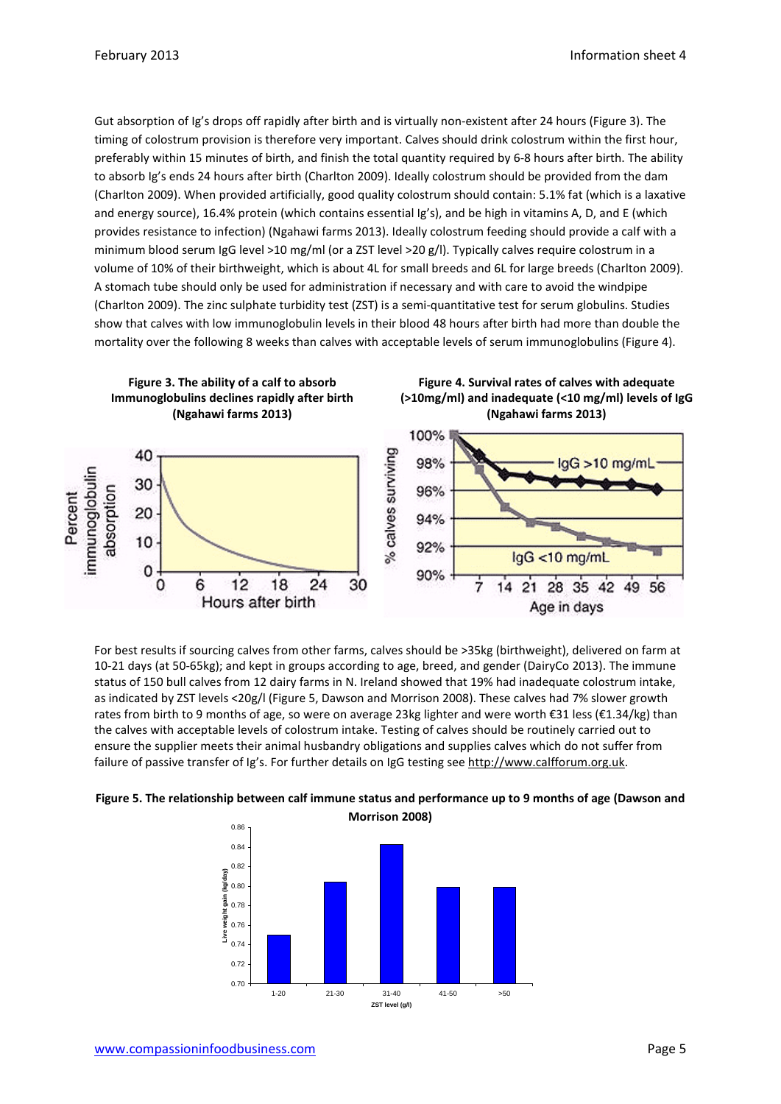Gut absorption of Ig's drops off rapidly after birth and is virtually non-existent after 24 hours (Figure 3). The timing of colostrum provision is therefore very important. Calves should drink colostrum within the first hour, preferably within 15 minutes of birth, and finish the total quantity required by 6-8 hours after birth. The ability to absorb Ig's ends 24 hours after birth (Charlton 2009). Ideally colostrum should be provided from the dam (Charlton 2009). When provided artificially, good quality colostrum should contain: 5.1% fat (which is a laxative and energy source), 16.4% protein (which contains essential Ig's), and be high in vitamins A, D, and E (which provides resistance to infection) (Ngahawi farms 2013). Ideally colostrum feeding should provide a calf with a minimum blood serum IgG level >10 mg/ml (or a ZST level >20 g/l). Typically calves require colostrum in a volume of 10% of their birthweight, which is about 4L for small breeds and 6L for large breeds (Charlton 2009). A stomach tube should only be used for administration if necessary and with care to avoid the windpipe (Charlton 2009). The zinc sulphate turbidity test (ZST) is a semi-quantitative test for serum globulins. Studies show that calves with low immunoglobulin levels in their blood 48 hours after birth had more than double the mortality over the following 8 weeks than calves with acceptable levels of serum immunoglobulins (Figure 4).



For best results if sourcing calves from other farms, calves should be >35kg (birthweight), delivered on farm at 10-21 days (at 50-65kg); and kept in groups according to age, breed, and gender (DairyCo 2013). The immune status of 150 bull calves from 12 dairy farms in N. Ireland showed that 19% had inadequate colostrum intake, as indicated by ZST levels <20g/l (Figure 5, Dawson and Morrison 2008). These calves had 7% slower growth rates from birth to 9 months of age, so were on average 23kg lighter and were worth €31 less (€1.34/kg) than the calves with acceptable levels of colostrum intake. Testing of calves should be routinely carried out to ensure the supplier meets their animal husbandry obligations and supplies calves which do not suffer from failure of passive transfer of Ig's. For further details on IgG testing see http://ww[w.calfforum.org.uk.](http://calfforum.org.uk/)



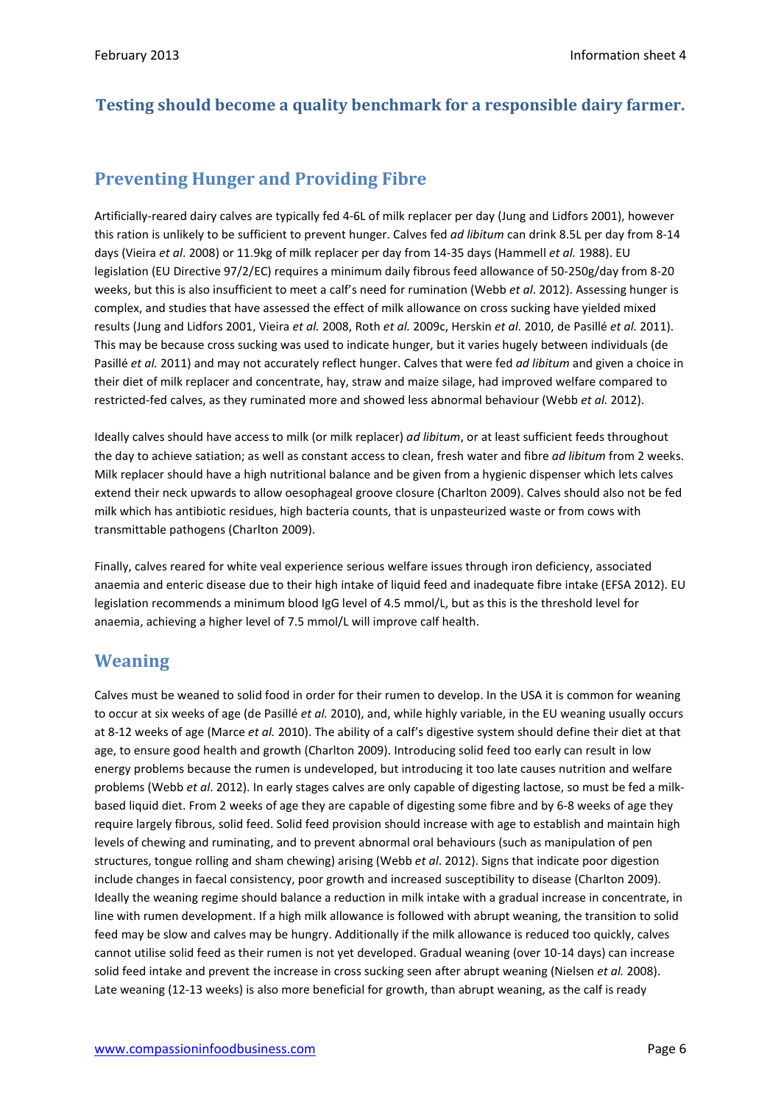#### **Testing should become a quality benchmark for a responsible dairy farmer.**

# **Preventing Hunger and Providing Fibre**

Artificially-reared dairy calves are typically fed 4-6L of milk replacer per day (Jung and Lidfors 2001), however this ration is unlikely to be sufficient to prevent hunger. Calves fed *ad libitum* can drink 8.5L per day from 8-14 days (Vieira *et al*. 2008) or 11.9kg of milk replacer per day from 14-35 days (Hammell *et al.* 1988). EU legislation (EU Directive 97/2/EC) requires a minimum daily fibrous feed allowance of 50-250g/day from 8-20 weeks, but this is also insufficient to meet a calf's need for rumination (Webb *et al*. 2012). Assessing hunger is complex, and studies that have assessed the effect of milk allowance on cross sucking have yielded mixed results (Jung and Lidfors 2001, Vieira *et al.* 2008, Roth *et al.* 2009c, Herskin *et al.* 2010, de Pasillé *et al.* 2011). This may be because cross sucking was used to indicate hunger, but it varies hugely between individuals (de Pasillé *et al.* 2011) and may not accurately reflect hunger. Calves that were fed *ad libitum* and given a choice in their diet of milk replacer and concentrate, hay, straw and maize silage, had improved welfare compared to restricted-fed calves, as they ruminated more and showed less abnormal behaviour (Webb *et al.* 2012).

Ideally calves should have access to milk (or milk replacer) *ad libitum*, or at least sufficient feeds throughout the day to achieve satiation; as well as constant access to clean, fresh water and fibre *ad libitum* from 2 weeks. Milk replacer should have a high nutritional balance and be given from a hygienic dispenser which lets calves extend their neck upwards to allow oesophageal groove closure (Charlton 2009). Calves should also not be fed milk which has antibiotic residues, high bacteria counts, that is unpasteurized waste or from cows with transmittable pathogens (Charlton 2009).

Finally, calves reared for white veal experience serious welfare issues through iron deficiency, associated anaemia and enteric disease due to their high intake of liquid feed and inadequate fibre intake (EFSA 2012). EU legislation recommends a minimum blood IgG level of 4.5 mmol/L, but as this is the threshold level for anaemia, achieving a higher level of 7.5 mmol/L will improve calf health.

#### **Weaning**

Calves must be weaned to solid food in order for their rumen to develop. In the USA it is common for weaning to occur at six weeks of age (de Pasillé *et al.* 2010), and, while highly variable, in the EU weaning usually occurs at 8-12 weeks of age (Marce *et al.* 2010). The ability of a calf's digestive system should define their diet at that age, to ensure good health and growth (Charlton 2009). Introducing solid feed too early can result in low energy problems because the rumen is undeveloped, but introducing it too late causes nutrition and welfare problems (Webb *et al*. 2012). In early stages calves are only capable of digesting lactose, so must be fed a milkbased liquid diet. From 2 weeks of age they are capable of digesting some fibre and by 6-8 weeks of age they require largely fibrous, solid feed. Solid feed provision should increase with age to establish and maintain high levels of chewing and ruminating, and to prevent abnormal oral behaviours (such as manipulation of pen structures, tongue rolling and sham chewing) arising (Webb *et al*. 2012). Signs that indicate poor digestion include changes in faecal consistency, poor growth and increased susceptibility to disease (Charlton 2009). Ideally the weaning regime should balance a reduction in milk intake with a gradual increase in concentrate, in line with rumen development. If a high milk allowance is followed with abrupt weaning, the transition to solid feed may be slow and calves may be hungry. Additionally if the milk allowance is reduced too quickly, calves cannot utilise solid feed as their rumen is not yet developed. Gradual weaning (over 10-14 days) can increase solid feed intake and prevent the increase in cross sucking seen after abrupt weaning (Nielsen *et al.* 2008). Late weaning (12-13 weeks) is also more beneficial for growth, than abrupt weaning, as the calf is ready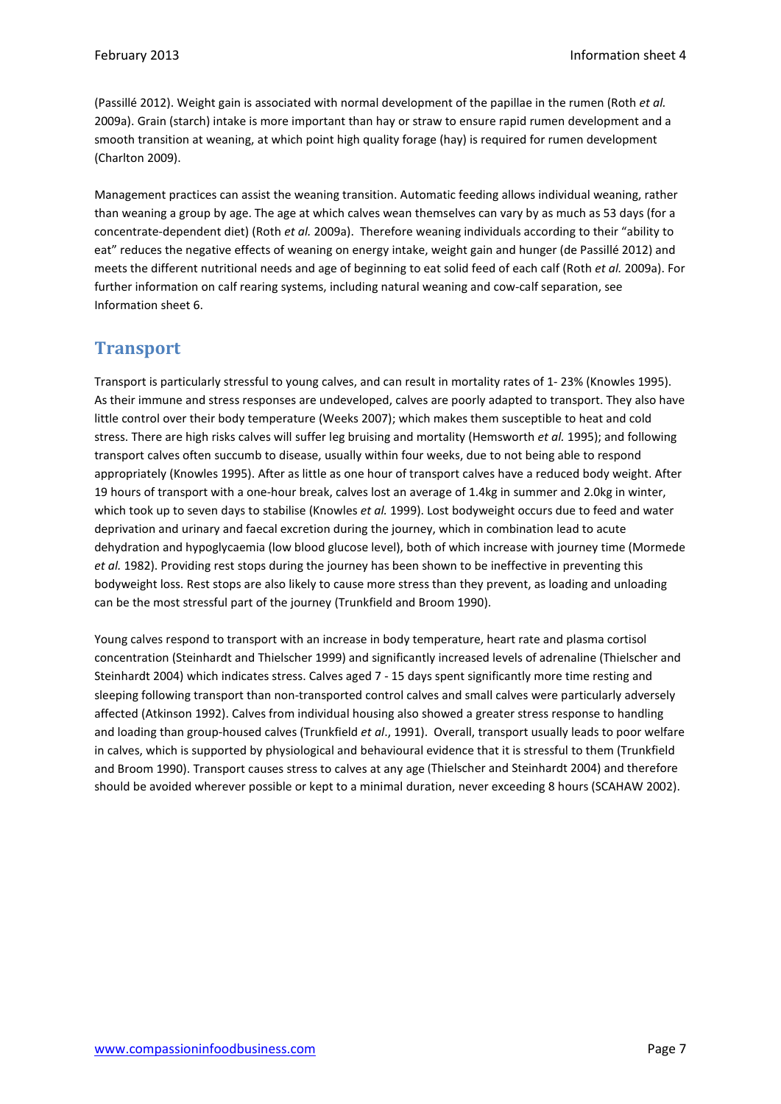(Passillé 2012). Weight gain is associated with normal development of the papillae in the rumen (Roth *et al.* 2009a). Grain (starch) intake is more important than hay or straw to ensure rapid rumen development and a smooth transition at weaning, at which point high quality forage (hay) is required for rumen development (Charlton 2009).

Management practices can assist the weaning transition. Automatic feeding allows individual weaning, rather than weaning a group by age. The age at which calves wean themselves can vary by as much as 53 days (for a concentrate-dependent diet) (Roth *et al.* 2009a). Therefore weaning individuals according to their "ability to eat" reduces the negative effects of weaning on energy intake, weight gain and hunger (de Passillé 2012) and meets the different nutritional needs and age of beginning to eat solid feed of each calf (Roth *et al.* 2009a). For further information on calf rearing systems, including natural weaning and cow-calf separation, see Information sheet 6.

#### **Transport**

Transport is particularly stressful to young calves, and can result in mortality rates of 1- 23% (Knowles 1995). As their immune and stress responses are undeveloped, calves are poorly adapted to transport. They also have little control over their body temperature (Weeks 2007); which makes them susceptible to heat and cold stress. There are high risks calves will suffer leg bruising and mortality (Hemsworth *et al.* 1995); and following transport calves often succumb to disease, usually within four weeks, due to not being able to respond appropriately (Knowles 1995). After as little as one hour of transport calves have a reduced body weight. After 19 hours of transport with a one-hour break, calves lost an average of 1.4kg in summer and 2.0kg in winter, which took up to seven days to stabilise (Knowles *et al.* 1999). Lost bodyweight occurs due to feed and water deprivation and urinary and faecal excretion during the journey, which in combination lead to acute dehydration and hypoglycaemia (low blood glucose level), both of which increase with journey time (Mormede *et al.* 1982). Providing rest stops during the journey has been shown to be ineffective in preventing this bodyweight loss. Rest stops are also likely to cause more stress than they prevent, as loading and unloading can be the most stressful part of the journey (Trunkfield and Broom 1990).

Young calves respond to transport with an increase in body temperature, heart rate and plasma cortisol concentration (Steinhardt and Thielscher 1999) and significantly increased levels of adrenaline (Thielscher and Steinhardt 2004) which indicates stress. Calves aged 7 - 15 days spent significantly more time resting and sleeping following transport than non-transported control calves and small calves were particularly adversely affected (Atkinson 1992). Calves from individual housing also showed a greater stress response to handling and loading than group-housed calves (Trunkfield *et al*., 1991). Overall, transport usually leads to poor welfare in calves, which is supported by physiological and behavioural evidence that it is stressful to them (Trunkfield and Broom 1990). Transport causes stress to calves at any age (Thielscher and Steinhardt 2004) and therefore should be avoided wherever possible or kept to a minimal duration, never exceeding 8 hours (SCAHAW 2002).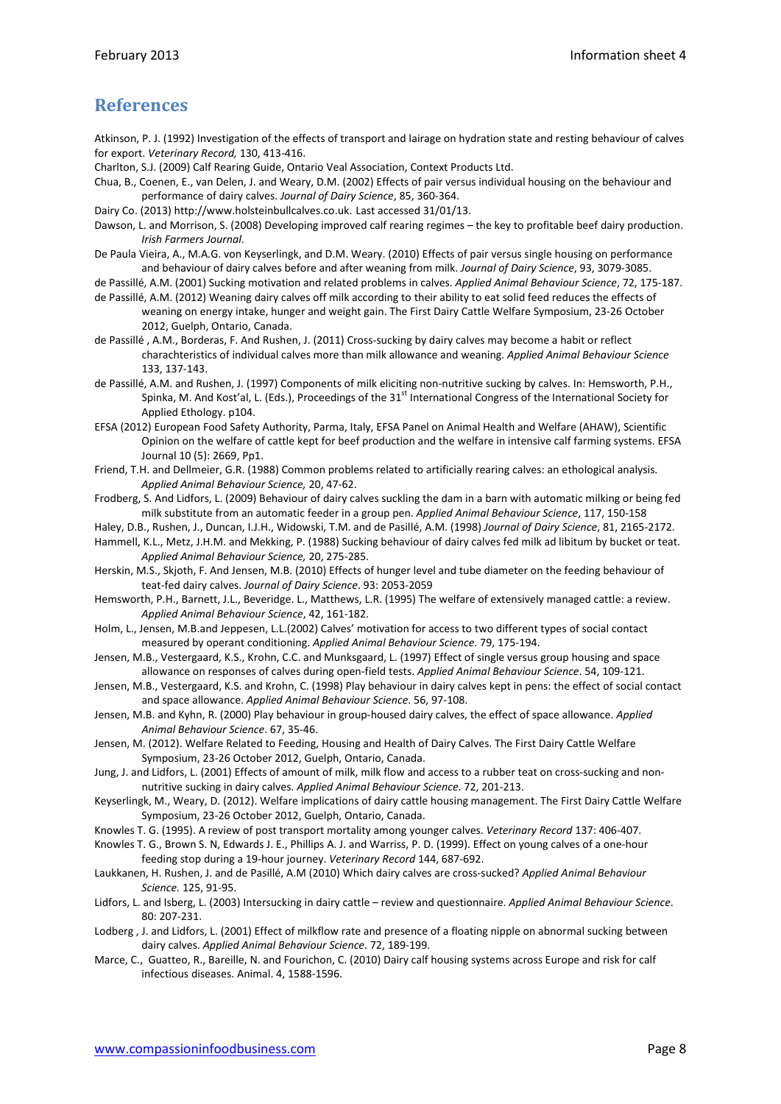## **References**

Atkinson, P. J. (1992) Investigation of the effects of transport and lairage on hydration state and resting behaviour of calves for export. *Veterinary Record,* 130, 413-416.

- Charlton, S.J. (2009) Calf Rearing Guide, Ontario Veal Association, Context Products Ltd.
- Chua, B., Coenen, E., van Delen, J. and Weary, D.M. (2002) Effects of pair versus individual housing on the behaviour and performance of dairy calves. *Journal of Dairy Science*, 85, 360-364.
- Dairy Co. (2013[\) http://www.holsteinbullcalves.co.uk](http://www.holsteinbullcalves.co.uk/). Last accessed 31/01/13.
- Dawson, L. and Morrison, S. (2008) Developing improved calf rearing regimes the key to profitable beef dairy production. *Irish Farmers Journal*.
- De Paula Vieira, A., M.A.G. von Keyserlingk, and D.M. Weary. (2010) Effects of pair versus single housing on performance and behaviour of dairy calves before and after weaning from milk. *Journal of Dairy Science*, 93, 3079-3085.
- de Passillé, A.M. (2001) Sucking motivation and related problems in calves. *Applied Animal Behaviour Science*, 72, 175-187.
- de Passillé, A.M. (2012) Weaning dairy calves off milk according to their ability to eat solid feed reduces the effects of weaning on energy intake, hunger and weight gain. The First Dairy Cattle Welfare Symposium, 23-26 October 2012, Guelph, Ontario, Canada.
- de Passillé , A.M., Borderas, F. And Rushen, J. (2011) Cross-sucking by dairy calves may become a habit or reflect charachteristics of individual calves more than milk allowance and weaning. *Applied Animal Behaviour Science* 133, 137-143.
- de Passillé, A.M. and Rushen, J. (1997) Components of milk eliciting non-nutritive sucking by calves. In: Hemsworth, P.H., Spinka, M. And Kost'al, L. (Eds.), Proceedings of the 31<sup>st</sup> International Congress of the International Society for Applied Ethology. p104.
- EFSA (2012) European Food Safety Authority, Parma, Italy, EFSA Panel on Animal Health and Welfare (AHAW), Scientific Opinion on the welfare of cattle kept for beef production and the welfare in intensive calf farming systems. EFSA Journal 10 (5): 2669, Pp1.
- Friend, T.H. and Dellmeier, G.R. (1988) Common problems related to artificially rearing calves: an ethological analysis. *Applied Animal Behaviour Science,* 20, 47-62.
- Frodberg, S. And Lidfors, L. (2009) Behaviour of dairy calves suckling the dam in a barn with automatic milking or being fed milk substitute from an automatic feeder in a group pen. *Applied Animal Behaviour Science*, 117, 150-158
- Haley, D.B., Rushen, J., Duncan, I.J.H., Widowski, T.M. and de Pasillé, A.M. (1998) *Journal of Dairy Science*, 81, 2165-2172.
- Hammell, K.L., Metz, J.H.M. and Mekking, P. (1988) Sucking behaviour of dairy calves fed milk ad libitum by bucket or teat. *Applied Animal Behaviour Science,* 20, 275-285.
- Herskin, M.S., Skjoth, F. And Jensen, M.B. (2010) Effects of hunger level and tube diameter on the feeding behaviour of teat-fed dairy calves. *Journal of Dairy Science*. 93: 2053-2059
- Hemsworth, P.H., Barnett, J.L., Beveridge. L., Matthews, L.R. (1995) The welfare of extensively managed cattle: a review. *Applied Animal Behaviour Science*, 42, 161-182.
- Holm, L., Jensen, M.B.and Jeppesen, L.L.(2002) Calves' motivation for access to two different types of social contact measured by operant conditioning. *Applied Animal Behaviour Science*. 79, 175-194.
- Jensen, M.B., Vestergaard, K.S., Krohn, C.C. and Munksgaard, L. (1997) Effect of single versus group housing and space allowance on responses of calves during open-field tests. *Applied Animal Behaviour Science*. 54, 109-121.
- Jensen, M.B., Vestergaard, K.S. and Krohn, C. (1998) Play behaviour in dairy calves kept in pens: the effect of social contact and space allowance. *Applied Animal Behaviour Science*. 56, 97-108.
- Jensen, M.B. and Kyhn, R. (2000) Play behaviour in group-housed dairy calves, the effect of space allowance. *Applied Animal Behaviour Science*. 67, 35-46.
- Jensen, M. (2012). Welfare Related to Feeding, Housing and Health of Dairy Calves. The First Dairy Cattle Welfare Symposium, 23-26 October 2012, Guelph, Ontario, Canada.
- Jung, J. and Lidfors, L. (2001) Effects of amount of milk, milk flow and access to a rubber teat on cross-sucking and nonnutritive sucking in dairy calves. *Applied Animal Behaviour Science*. 72, 201-213.
- Keyserlingk, M., Weary, D. (2012). Welfare implications of dairy cattle housing management. The First Dairy Cattle Welfare Symposium, 23-26 October 2012, Guelph, Ontario, Canada.
- Knowles T. G. (1995). A review of post transport mortality among younger calves. *Veterinary Record* 137: 406-407.
- Knowles T. G., Brown S. N, Edwards J. E., Phillips A. J. and Warriss, P. D. (1999). Effect on young calves of a one-hour feeding stop during a 19-hour journey. *Veterinary Record* 144, 687-692.
- Laukkanen, H. Rushen, J. and de Pasillé, A.M (2010) Which dairy calves are cross-sucked? *Applied Animal Behaviour Science.* 125, 91-95.
- Lidfors, L. and Isberg, L. (2003) Intersucking in dairy cattle review and questionnaire. *Applied Animal Behaviour Science*. 80: 207-231.
- Lodberg , J. and Lidfors, L. (2001) Effect of milkflow rate and presence of a floating nipple on abnormal sucking between dairy calves. *Applied Animal Behaviour Science*. 72, 189-199.
- Marce, C., Guatteo, R., Bareille, N. and Fourichon, C. (2010) Dairy calf housing systems across Europe and risk for calf infectious diseases. Animal. 4, 1588-1596.